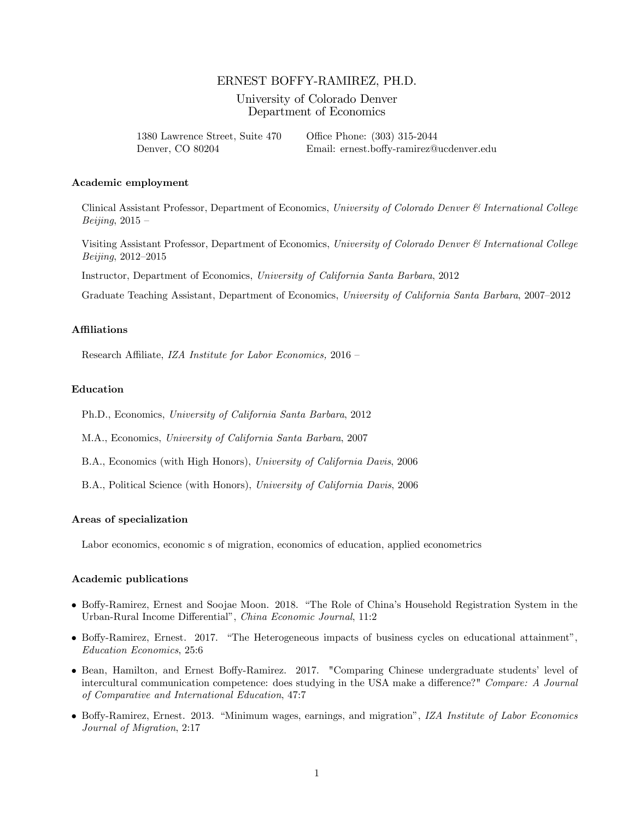# ERNEST BOFFY-RAMIREZ, PH.D.

## University of Colorado Denver Department of Economics

1380 Lawrence Street, Suite 470 Office Phone: (303) 315-2044 Denver, CO 80204 Email: ernest.boffy-ramirez@ucdenver.edu

#### Academic employment

Clinical Assistant Professor, Department of Economics, University of Colorado Denver & International College Beijing,  $2015 -$ 

Visiting Assistant Professor, Department of Economics, University of Colorado Denver & International College  $Beijing, 2012 - 2015$ 

Instructor, Department of Economics, University of California Santa Barbara, 2012

Graduate Teaching Assistant, Department of Economics, University of California Santa Barbara, 2007-2012

## **Affiliations**

Research Affiliate, IZA Institute for Labor Economics, 2016 -

### Education

Ph.D., Economics, University of California Santa Barbara, 2012

M.A., Economics, University of California Santa Barbara, 2007

B.A., Economics (with High Honors), University of California Davis, 2006

B.A., Political Science (with Honors), University of California Davis, 2006

#### Areas of specialization

Labor economics, economic s of migration, economics of education, applied econometrics

#### **Academic publications**

- Boffy-Ramirez, Ernest and Soojae Moon. 2018. "The Role of China's Household Registration System in the Urban-Rural Income Differential", China Economic Journal, 11:2
- Boffy-Ramirez, Ernest. 2017. "The Heterogeneous impacts of business cycles on educational attainment", Education Economics, 25:6
- Bean, Hamilton, and Ernest Boffy-Ramirez. 2017. "Comparing Chinese undergraduate students' level of intercultural communication competence: does studying in the USA make a difference?" Compare: A Journal of Comparative and International Education, 47:7
- Boffy-Ramirez, Ernest. 2013. "Minimum wages, earnings, and migration", IZA Institute of Labor Economics Journal of Migration, 2:17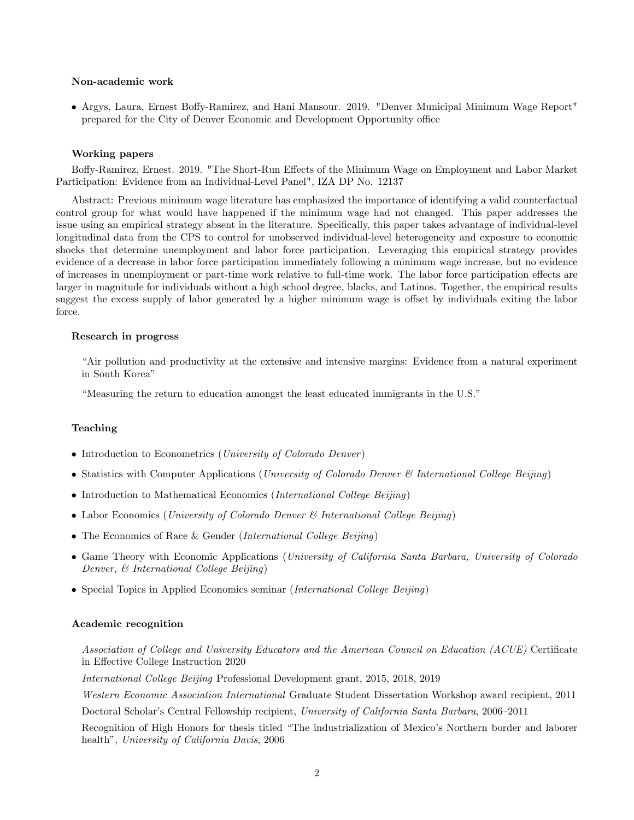#### Non-academic work

• Argys, Laura, Ernest Boffy-Ramirez, and Hani Mansour. 2019. "Denver Municipal Minimum Wage Report" prepared for the City of Denver Economic and Development Opportunity office

### Working papers

Boffy-Ramirez, Ernest. 2019. "The Short-Run Effects of the Minimum Wage on Employment and Labor Market Participation: Evidence from an Individual-Level Panel", IZA DP No. 12137

Abstract: Previous minimum wage literature has emphasized the importance of identifying a valid counterfactual control group for what would have happened if the minimum wage had not changed. This paper addresses the issue using an empirical strategy absent in the literature. Specifically, this paper takes advantage of individual-level longitudinal data from the CPS to control for unobserved individual-level heterogeneity and exposure to economic shocks that determine unemployment and labor force participation. Leveraging this empirical strategy provides evidence of a decrease in labor force participation immediately following a minimum wage increase, but no evidence of increases in unemployment or part-time work relative to full-time work. The labor force participation effects are larger in magnitude for individuals without a high school degree, blacks, and Latinos. Together, the empirical results suggest the excess supply of labor generated by a higher minimum wage is offset by individuals exiting the labor force.

### Research in progress

ìAir pollution and productivity at the extensive and intensive margins: Evidence from a natural experiment in South Korea"

"Measuring the return to education amongst the least educated immigrants in the U.S."

#### Teaching

- Introduction to Econometrics (University of Colorado Denver)
- Statistics with Computer Applications (University of Colorado Denver  $\mathcal{C}$  International College Beijing)
- Introduction to Mathematical Economics (International College Beijing)
- Labor Economics (*University of Colorado Denver & International College Beijing*)
- The Economics of Race & Gender (International College Beijing)
- Game Theory with Economic Applications (University of California Santa Barbara, University of Colorado Denver, & International College Beijing)
- Special Topics in Applied Economics seminar (International College Beijing)

#### Academic recognition

Association of College and University Educators and the American Council on Education (ACUE) Certificate in Effective College Instruction 2020

International College Beijing Professional Development grant, 2015, 2018, 2019

Western Economic Association International Graduate Student Dissertation Workshop award recipient, 2011

Doctoral Scholar's Central Fellowship recipient, University of California Santa Barbara, 2006–2011

Recognition of High Honors for thesis titled "The industrialization of Mexico's Northern border and laborer health", University of California Davis, 2006